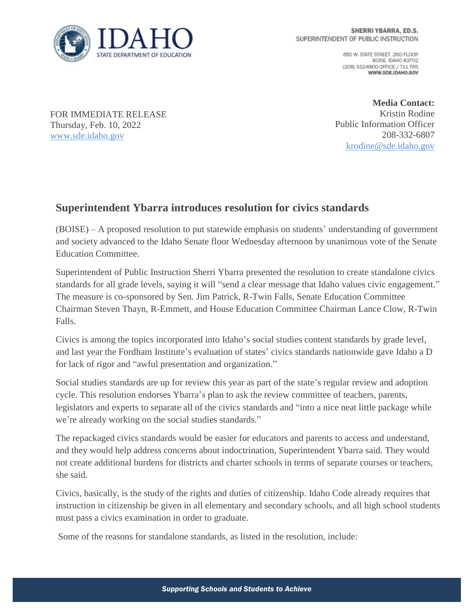

650 W. STATE STREET, 2ND FLOOR BOISE IDAHO 83702 (208) 332-6800 OFFICE / 711 TRS WWW.SDE.IDAHO.GOV

FOR IMMEDIATE RELEASE Thursday, Feb. 10, 2022 [www.sde.idaho.gov](http://www.sde.idaho.gov/)

**Media Contact:** Kristin Rodine Public Information Officer 208-332-6807 [krodine@sde.idaho.gov](mailto:krodine@sde.idaho.gov)

## **Superintendent Ybarra introduces resolution for civics standards**

(BOISE) – A proposed resolution to put statewide emphasis on students' understanding of government and society advanced to the Idaho Senate floor Wednesday afternoon by unanimous vote of the Senate Education Committee.

Superintendent of Public Instruction Sherri Ybarra presented the resolution to create standalone civics standards for all grade levels, saying it will "send a clear message that Idaho values civic engagement." The measure is co-sponsored by Sen. Jim Patrick, R-Twin Falls, Senate Education Committee Chairman Steven Thayn, R-Emmett, and House Education Committee Chairman Lance Clow, R-Twin Falls.

Civics is among the topics incorporated into Idaho's social studies content standards by grade level, and last year the Fordham Institute's evaluation of states' civics standards nationwide gave Idaho a D for lack of rigor and "awful presentation and organization."

Social studies standards are up for review this year as part of the state's regular review and adoption cycle. This resolution endorses Ybarra's plan to ask the review committee of teachers, parents, legislators and experts to separate all of the civics standards and "into a nice neat little package while we're already working on the social studies standards."

The repackaged civics standards would be easier for educators and parents to access and understand, and they would help address concerns about indoctrination, Superintendent Ybarra said. They would not create additional burdens for districts and charter schools in terms of separate courses or teachers, she said.

Civics, basically, is the study of the rights and duties of citizenship. Idaho Code already requires that instruction in citizenship be given in all elementary and secondary schools, and all high school students must pass a civics examination in order to graduate.

Some of the reasons for standalone standards, as listed in the resolution, include: